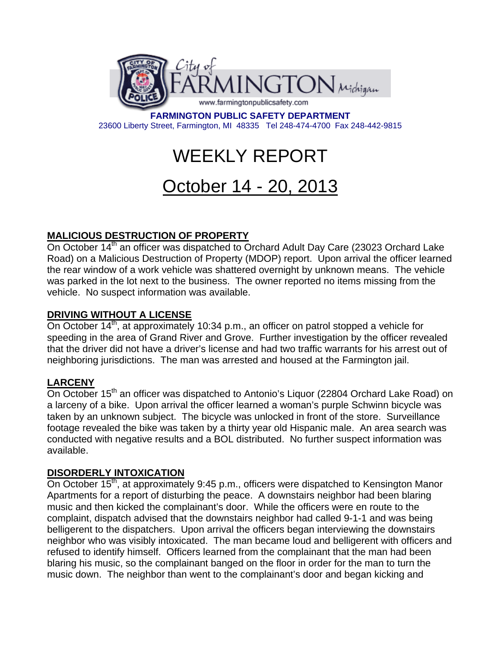

**FARMINGTON PUBLIC SAFETY DEPARTMENT**  23600 Liberty Street, Farmington, MI 48335 Tel 248-474-4700 Fax 248-442-9815

# WEEKLY REPORT

# October 14 - 20, 2013

# **MALICIOUS DESTRUCTION OF PROPERTY**

On October 14<sup>th</sup> an officer was dispatched to Orchard Adult Day Care (23023 Orchard Lake Road) on a Malicious Destruction of Property (MDOP) report. Upon arrival the officer learned the rear window of a work vehicle was shattered overnight by unknown means. The vehicle was parked in the lot next to the business. The owner reported no items missing from the vehicle. No suspect information was available.

## **DRIVING WITHOUT A LICENSE**

On October 14<sup>th</sup>, at approximately 10:34 p.m., an officer on patrol stopped a vehicle for speeding in the area of Grand River and Grove. Further investigation by the officer revealed that the driver did not have a driver's license and had two traffic warrants for his arrest out of neighboring jurisdictions. The man was arrested and housed at the Farmington jail.

## **LARCENY**

On October 15<sup>th</sup> an officer was dispatched to Antonio's Liquor (22804 Orchard Lake Road) on a larceny of a bike. Upon arrival the officer learned a woman's purple Schwinn bicycle was taken by an unknown subject. The bicycle was unlocked in front of the store. Surveillance footage revealed the bike was taken by a thirty year old Hispanic male. An area search was conducted with negative results and a BOL distributed. No further suspect information was available.

#### **DISORDERLY INTOXICATION**

On October 15<sup>th</sup>, at approximately 9:45 p.m., officers were dispatched to Kensington Manor Apartments for a report of disturbing the peace. A downstairs neighbor had been blaring music and then kicked the complainant's door. While the officers were en route to the complaint, dispatch advised that the downstairs neighbor had called 9-1-1 and was being belligerent to the dispatchers. Upon arrival the officers began interviewing the downstairs neighbor who was visibly intoxicated. The man became loud and belligerent with officers and refused to identify himself. Officers learned from the complainant that the man had been blaring his music, so the complainant banged on the floor in order for the man to turn the music down. The neighbor than went to the complainant's door and began kicking and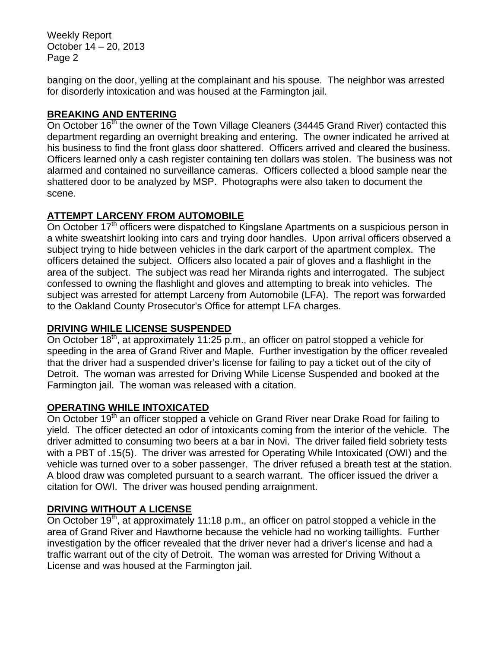Weekly Report October 14 – 20, 2013 Page 2

banging on the door, yelling at the complainant and his spouse. The neighbor was arrested for disorderly intoxication and was housed at the Farmington jail.

#### **BREAKING AND ENTERING**

On October 16<sup>th</sup> the owner of the Town Village Cleaners (34445 Grand River) contacted this department regarding an overnight breaking and entering. The owner indicated he arrived at his business to find the front glass door shattered. Officers arrived and cleared the business. Officers learned only a cash register containing ten dollars was stolen. The business was not alarmed and contained no surveillance cameras. Officers collected a blood sample near the shattered door to be analyzed by MSP. Photographs were also taken to document the scene.

## **ATTEMPT LARCENY FROM AUTOMOBILE**

On October  $17<sup>th</sup>$  officers were dispatched to Kingslane Apartments on a suspicious person in a white sweatshirt looking into cars and trying door handles. Upon arrival officers observed a subject trying to hide between vehicles in the dark carport of the apartment complex. The officers detained the subject. Officers also located a pair of gloves and a flashlight in the area of the subject. The subject was read her Miranda rights and interrogated. The subject confessed to owning the flashlight and gloves and attempting to break into vehicles. The subject was arrested for attempt Larceny from Automobile (LFA). The report was forwarded to the Oakland County Prosecutor's Office for attempt LFA charges.

## **DRIVING WHILE LICENSE SUSPENDED**

On October 18<sup>th</sup>, at approximately 11:25 p.m., an officer on patrol stopped a vehicle for speeding in the area of Grand River and Maple. Further investigation by the officer revealed that the driver had a suspended driver's license for failing to pay a ticket out of the city of Detroit. The woman was arrested for Driving While License Suspended and booked at the Farmington jail. The woman was released with a citation.

## **OPERATING WHILE INTOXICATED**

On October 19<sup>th</sup> an officer stopped a vehicle on Grand River near Drake Road for failing to yield. The officer detected an odor of intoxicants coming from the interior of the vehicle. The driver admitted to consuming two beers at a bar in Novi. The driver failed field sobriety tests with a PBT of .15(5). The driver was arrested for Operating While Intoxicated (OWI) and the vehicle was turned over to a sober passenger. The driver refused a breath test at the station. A blood draw was completed pursuant to a search warrant. The officer issued the driver a citation for OWI. The driver was housed pending arraignment.

## **DRIVING WITHOUT A LICENSE**

On October 19<sup>th</sup>, at approximately 11:18 p.m., an officer on patrol stopped a vehicle in the area of Grand River and Hawthorne because the vehicle had no working taillights. Further investigation by the officer revealed that the driver never had a driver's license and had a traffic warrant out of the city of Detroit. The woman was arrested for Driving Without a License and was housed at the Farmington jail.